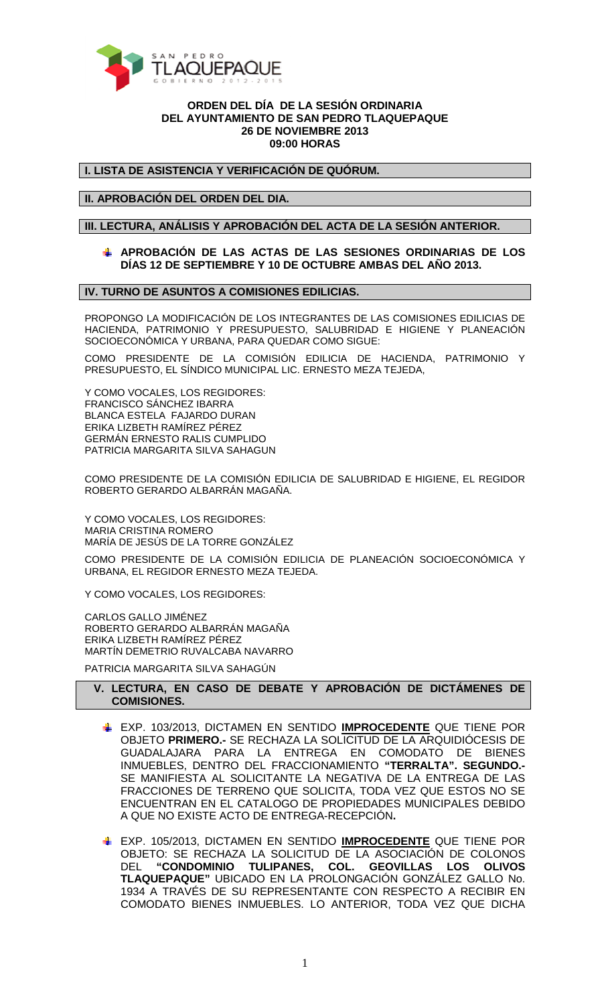

### **ORDEN DEL DÍA DE LA SESIÓN ORDINARIA DEL AYUNTAMIENTO DE SAN PEDRO TLAQUEPAQUE 26 DE NOVIEMBRE 2013 09:00 HORAS**

**I. LISTA DE ASISTENCIA Y VERIFICACIÓN DE QUÓRUM.** 

**II. APROBACIÓN DEL ORDEN DEL DIA.** 

**III. LECTURA, ANÁLISIS Y APROBACIÓN DEL ACTA DE LA SESIÓN ANTERIOR.** 

# **APROBACIÓN DE LAS ACTAS DE LAS SESIONES ORDINARIAS DE LOS DÍAS 12 DE SEPTIEMBRE Y 10 DE OCTUBRE AMBAS DEL AÑO 2013.**

### **IV. TURNO DE ASUNTOS A COMISIONES EDILICIAS.**

PROPONGO LA MODIFICACIÓN DE LOS INTEGRANTES DE LAS COMISIONES EDILICIAS DE HACIENDA, PATRIMONIO Y PRESUPUESTO, SALUBRIDAD E HIGIENE Y PLANEACIÓN SOCIOECONÓMICA Y URBANA, PARA QUEDAR COMO SIGUE:

COMO PRESIDENTE DE LA COMISIÓN EDILICIA DE HACIENDA, PATRIMONIO Y PRESUPUESTO, EL SÍNDICO MUNICIPAL LIC. ERNESTO MEZA TEJEDA,

Y COMO VOCALES, LOS REGIDORES: FRANCISCO SÁNCHEZ IBARRA BLANCA ESTELA FAJARDO DURAN ERIKA LIZBETH RAMÍREZ PÉREZ GERMÁN ERNESTO RALIS CUMPLIDO PATRICIA MARGARITA SILVA SAHAGUN

COMO PRESIDENTE DE LA COMISIÓN EDILICIA DE SALUBRIDAD E HIGIENE, EL REGIDOR ROBERTO GERARDO ALBARRÁN MAGAÑA.

Y COMO VOCALES, LOS REGIDORES: MARIA CRISTINA ROMERO MARÍA DE JESÚS DE LA TORRE GONZÁLEZ

COMO PRESIDENTE DE LA COMISIÓN EDILICIA DE PLANEACIÓN SOCIOECONÓMICA Y URBANA, EL REGIDOR ERNESTO MEZA TEJEDA.

Y COMO VOCALES, LOS REGIDORES:

CARLOS GALLO JIMÉNEZ ROBERTO GERARDO ALBARRÁN MAGAÑA ERIKA LIZBETH RAMÍREZ PÉREZ MARTÍN DEMETRIO RUVALCABA NAVARRO

PATRICIA MARGARITA SILVA SAHAGÚN

## **V. LECTURA, EN CASO DE DEBATE Y APROBACIÓN DE DICTÁMENES DE COMISIONES.**

- EXP. 103/2013, DICTAMEN EN SENTIDO **IMPROCEDENTE** QUE TIENE POR OBJETO **PRIMERO.-** SE RECHAZA LA SOLICITUD DE LA ARQUIDIÓCESIS DE GUADALAJARA PARA LA ENTREGA EN COMODATO DE BIENES INMUEBLES, DENTRO DEL FRACCIONAMIENTO **"TERRALTA". SEGUNDO.-** SE MANIFIESTA AL SOLICITANTE LA NEGATIVA DE LA ENTREGA DE LAS FRACCIONES DE TERRENO QUE SOLICITA, TODA VEZ QUE ESTOS NO SE ENCUENTRAN EN EL CATALOGO DE PROPIEDADES MUNICIPALES DEBIDO A QUE NO EXISTE ACTO DE ENTREGA-RECEPCIÓN**.**
- EXP. 105/2013, DICTAMEN EN SENTIDO **IMPROCEDENTE** QUE TIENE POR OBJETO: SE RECHAZA LA SOLICITUD DE LA ASOCIACIÓN DE COLONOS<br>DEL "**CONDOMINIO TULIPANES, COL. GEOVILLAS LOS OLIVOS** DEL **"CONDOMINIO TULIPANES, COL. GEOVILLAS LOS OLIVOS TLAQUEPAQUE"** UBICADO EN LA PROLONGACIÓN GONZÁLEZ GALLO No. 1934 A TRAVÉS DE SU REPRESENTANTE CON RESPECTO A RECIBIR EN COMODATO BIENES INMUEBLES. LO ANTERIOR, TODA VEZ QUE DICHA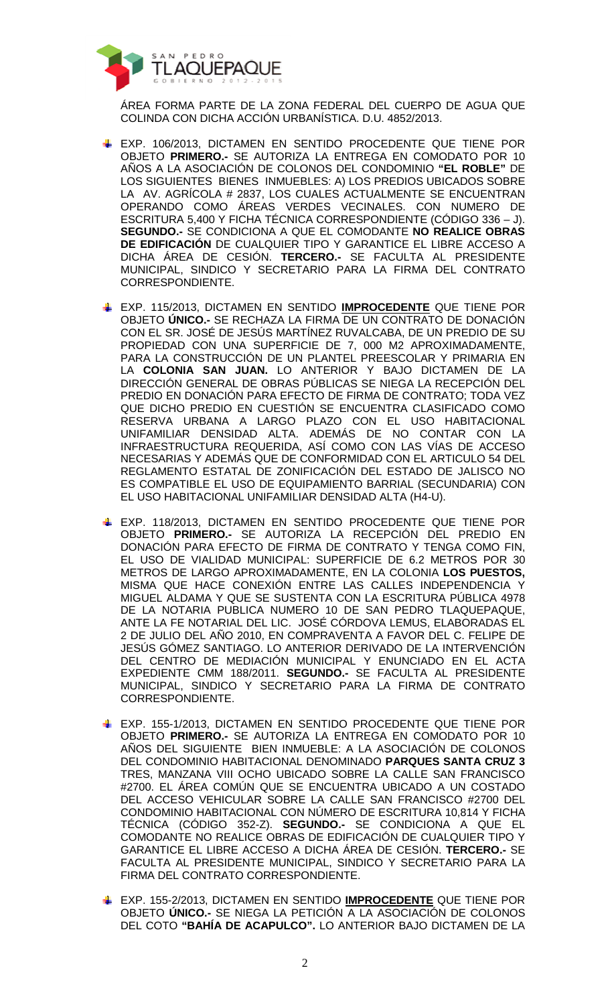

ÁREA FORMA PARTE DE LA ZONA FEDERAL DEL CUERPO DE AGUA QUE COLINDA CON DICHA ACCIÓN URBANÍSTICA. D.U. 4852/2013.

- **EXP. 106/2013, DICTAMEN EN SENTIDO PROCEDENTE QUE TIENE POR** OBJETO **PRIMERO.-** SE AUTORIZA LA ENTREGA EN COMODATO POR 10 AÑOS A LA ASOCIACIÓN DE COLONOS DEL CONDOMINIO **"EL ROBLE"** DE LOS SIGUIENTES BIENES INMUEBLES: A) LOS PREDIOS UBICADOS SOBRE LA AV. AGRÍCOLA # 2837, LOS CUALES ACTUALMENTE SE ENCUENTRAN OPERANDO COMO ÁREAS VERDES VECINALES. CON NUMERO DE ESCRITURA 5,400 Y FICHA TÉCNICA CORRESPONDIENTE (CÓDIGO 336 – J). **SEGUNDO.-** SE CONDICIONA A QUE EL COMODANTE **NO REALICE OBRAS DE EDIFICACIÓN** DE CUALQUIER TIPO Y GARANTICE EL LIBRE ACCESO A DICHA ÁREA DE CESIÓN. **TERCERO.-** SE FACULTA AL PRESIDENTE MUNICIPAL, SINDICO Y SECRETARIO PARA LA FIRMA DEL CONTRATO CORRESPONDIENTE.
- EXP. 115/2013, DICTAMEN EN SENTIDO **IMPROCEDENTE** QUE TIENE POR OBJETO **ÚNICO.-** SE RECHAZA LA FIRMA DE UN CONTRATO DE DONACIÓN CON EL SR. JOSÉ DE JESÚS MARTÍNEZ RUVALCABA, DE UN PREDIO DE SU PROPIEDAD CON UNA SUPERFICIE DE 7, 000 M2 APROXIMADAMENTE, PARA LA CONSTRUCCIÓN DE UN PLANTEL PREESCOLAR Y PRIMARIA EN LA **COLONIA SAN JUAN.** LO ANTERIOR Y BAJO DICTAMEN DE LA DIRECCIÓN GENERAL DE OBRAS PÚBLICAS SE NIEGA LA RECEPCIÓN DEL PREDIO EN DONACIÓN PARA EFECTO DE FIRMA DE CONTRATO; TODA VEZ QUE DICHO PREDIO EN CUESTIÓN SE ENCUENTRA CLASIFICADO COMO RESERVA URBANA A LARGO PLAZO CON EL USO HABITACIONAL UNIFAMILIAR DENSIDAD ALTA. ADEMÁS DE NO CONTAR CON LA INFRAESTRUCTURA REQUERIDA, ASÍ COMO CON LAS VÍAS DE ACCESO NECESARIAS Y ADEMÁS QUE DE CONFORMIDAD CON EL ARTICULO 54 DEL REGLAMENTO ESTATAL DE ZONIFICACIÓN DEL ESTADO DE JALISCO NO ES COMPATIBLE EL USO DE EQUIPAMIENTO BARRIAL (SECUNDARIA) CON EL USO HABITACIONAL UNIFAMILIAR DENSIDAD ALTA (H4-U).
- EXP. 118/2013, DICTAMEN EN SENTIDO PROCEDENTE QUE TIENE POR OBJETO **PRIMERO.-** SE AUTORIZA LA RECEPCIÓN DEL PREDIO EN DONACIÓN PARA EFECTO DE FIRMA DE CONTRATO Y TENGA COMO FIN, EL USO DE VIALIDAD MUNICIPAL: SUPERFICIE DE 6.2 METROS POR 30 METROS DE LARGO APROXIMADAMENTE, EN LA COLONIA **LOS PUESTOS,** MISMA QUE HACE CONEXIÓN ENTRE LAS CALLES INDEPENDENCIA Y MIGUEL ALDAMA Y QUE SE SUSTENTA CON LA ESCRITURA PÚBLICA 4978 DE LA NOTARIA PUBLICA NUMERO 10 DE SAN PEDRO TLAQUEPAQUE, ANTE LA FE NOTARIAL DEL LIC. JOSÉ CÓRDOVA LEMUS, ELABORADAS EL 2 DE JULIO DEL AÑO 2010, EN COMPRAVENTA A FAVOR DEL C. FELIPE DE JESÚS GÓMEZ SANTIAGO. LO ANTERIOR DERIVADO DE LA INTERVENCIÓN DEL CENTRO DE MEDIACIÓN MUNICIPAL Y ENUNCIADO EN EL ACTA EXPEDIENTE CMM 188/2011. **SEGUNDO.-** SE FACULTA AL PRESIDENTE MUNICIPAL, SINDICO Y SECRETARIO PARA LA FIRMA DE CONTRATO CORRESPONDIENTE.
- **EXP. 155-1/2013, DICTAMEN EN SENTIDO PROCEDENTE QUE TIENE POR** OBJETO **PRIMERO.-** SE AUTORIZA LA ENTREGA EN COMODATO POR 10 AÑOS DEL SIGUIENTE BIEN INMUEBLE: A LA ASOCIACIÓN DE COLONOS DEL CONDOMINIO HABITACIONAL DENOMINADO **PARQUES SANTA CRUZ 3** TRES, MANZANA VIII OCHO UBICADO SOBRE LA CALLE SAN FRANCISCO #2700. EL ÁREA COMÚN QUE SE ENCUENTRA UBICADO A UN COSTADO DEL ACCESO VEHICULAR SOBRE LA CALLE SAN FRANCISCO #2700 DEL CONDOMINIO HABITACIONAL CON NÚMERO DE ESCRITURA 10,814 Y FICHA TÉCNICA (CÓDIGO 352-Z). **SEGUNDO.-** SE CONDICIONA A QUE EL COMODANTE NO REALICE OBRAS DE EDIFICACIÓN DE CUALQUIER TIPO Y GARANTICE EL LIBRE ACCESO A DICHA ÁREA DE CESIÓN. **TERCERO.-** SE FACULTA AL PRESIDENTE MUNICIPAL, SINDICO Y SECRETARIO PARA LA FIRMA DEL CONTRATO CORRESPONDIENTE.
- EXP. 155-2/2013, DICTAMEN EN SENTIDO **IMPROCEDENTE** QUE TIENE POR OBJETO **ÚNICO.-** SE NIEGA LA PETICIÓN A LA ASOCIACIÓN DE COLONOS DEL COTO **"BAHÍA DE ACAPULCO".** LO ANTERIOR BAJO DICTAMEN DE LA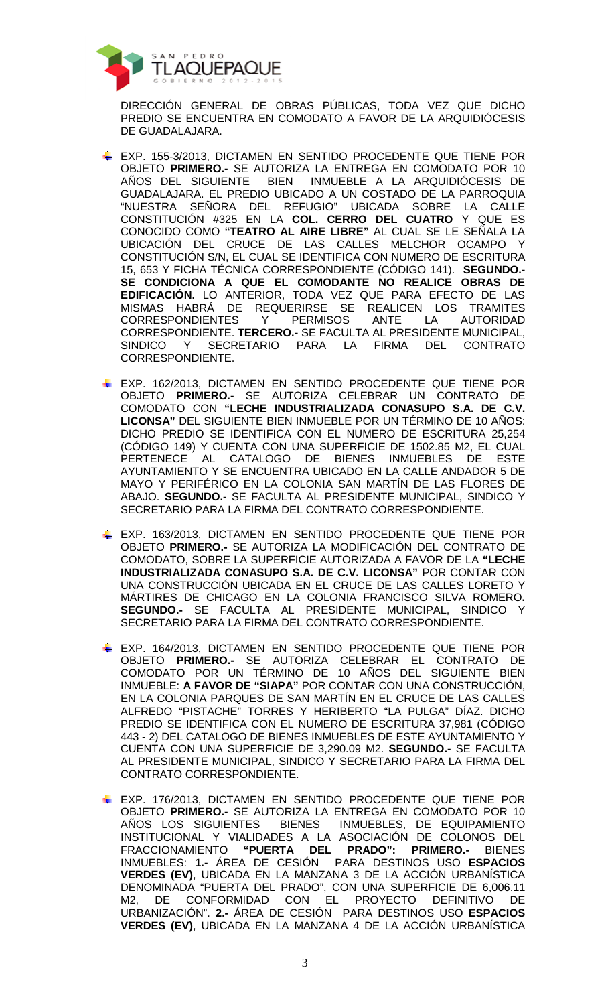

DIRECCIÓN GENERAL DE OBRAS PÚBLICAS, TODA VEZ QUE DICHO PREDIO SE ENCUENTRA EN COMODATO A FAVOR DE LA ARQUIDIÓCESIS DE GUADALAJARA.

- EXP. 155-3/2013, DICTAMEN EN SENTIDO PROCEDENTE QUE TIENE POR OBJETO **PRIMERO.-** SE AUTORIZA LA ENTREGA EN COMODATO POR 10 AÑOS DEL SIGUIENTE BIEN INMUEBLE A LA ARQUIDIÓCESIS DE GUADALAJARA. EL PREDIO UBICADO A UN COSTADO DE LA PARROQUIA "NUESTRA SEÑORA DEL REFUGIO" UBICADA SOBRE LA CALLE CONSTITUCIÓN #325 EN LA **COL. CERRO DEL CUATRO** Y QUE ES CONOCIDO COMO **"TEATRO AL AIRE LIBRE"** AL CUAL SE LE SEÑALA LA UBICACIÓN DEL CRUCE DE LAS CALLES MELCHOR OCAMPO Y CONSTITUCIÓN S/N, EL CUAL SE IDENTIFICA CON NUMERO DE ESCRITURA 15, 653 Y FICHA TÉCNICA CORRESPONDIENTE (CÓDIGO 141). **SEGUNDO.- SE CONDICIONA A QUE EL COMODANTE NO REALICE OBRAS DE EDIFICACIÓN.** LO ANTERIOR, TODA VEZ QUE PARA EFECTO DE LAS MISMAS HABRÁ DE REQUERIRSE SE REALICEN LOS TRAMITES CORRESPONDIENTES Y PERMISOS ANTE LA AUTORIDAD CORRESPONDIENTE. **TERCERO.-** SE FACULTA AL PRESIDENTE MUNICIPAL, SINDICO Y SECRETARIO PARA LA FIRMA DEL CONTRATO CORRESPONDIENTE.
- EXP. 162/2013, DICTAMEN EN SENTIDO PROCEDENTE QUE TIENE POR OBJETO **PRIMERO.-** SE AUTORIZA CELEBRAR UN CONTRATO DE COMODATO CON **"LECHE INDUSTRIALIZADA CONASUPO S.A. DE C.V. LICONSA"** DEL SIGUIENTE BIEN INMUEBLE POR UN TÉRMINO DE 10 AÑOS: DICHO PREDIO SE IDENTIFICA CON EL NUMERO DE ESCRITURA 25,254 (CÓDIGO 149) Y CUENTA CON UNA SUPERFICIE DE 1502.85 M2, EL CUAL PERTENECE AL CATALOGO DE BIENES INMUEBLES DE ESTE AYUNTAMIENTO Y SE ENCUENTRA UBICADO EN LA CALLE ANDADOR 5 DE MAYO Y PERIFÉRICO EN LA COLONIA SAN MARTÍN DE LAS FLORES DE ABAJO. **SEGUNDO.-** SE FACULTA AL PRESIDENTE MUNICIPAL, SINDICO Y SECRETARIO PARA LA FIRMA DEL CONTRATO CORRESPONDIENTE.
- EXP. 163/2013, DICTAMEN EN SENTIDO PROCEDENTE QUE TIENE POR OBJETO **PRIMERO.-** SE AUTORIZA LA MODIFICACIÓN DEL CONTRATO DE COMODATO, SOBRE LA SUPERFICIE AUTORIZADA A FAVOR DE LA **"LECHE INDUSTRIALIZADA CONASUPO S.A. DE C.V. LICONSA"** POR CONTAR CON UNA CONSTRUCCIÓN UBICADA EN EL CRUCE DE LAS CALLES LORETO Y MÁRTIRES DE CHICAGO EN LA COLONIA FRANCISCO SILVA ROMERO**. SEGUNDO.-** SE FACULTA AL PRESIDENTE MUNICIPAL, SINDICO Y SECRETARIO PARA LA FIRMA DEL CONTRATO CORRESPONDIENTE.
- EXP. 164/2013, DICTAMEN EN SENTIDO PROCEDENTE QUE TIENE POR OBJETO **PRIMERO.-** SE AUTORIZA CELEBRAR EL CONTRATO DE COMODATO POR UN TÉRMINO DE 10 AÑOS DEL SIGUIENTE BIEN INMUEBLE: **A FAVOR DE "SIAPA"** POR CONTAR CON UNA CONSTRUCCIÓN, EN LA COLONIA PARQUES DE SAN MARTÍN EN EL CRUCE DE LAS CALLES ALFREDO "PISTACHE" TORRES Y HERIBERTO "LA PULGA" DÍAZ. DICHO PREDIO SE IDENTIFICA CON EL NUMERO DE ESCRITURA 37,981 (CÓDIGO 443 - 2) DEL CATALOGO DE BIENES INMUEBLES DE ESTE AYUNTAMIENTO Y CUENTA CON UNA SUPERFICIE DE 3,290.09 M2. **SEGUNDO.-** SE FACULTA AL PRESIDENTE MUNICIPAL, SINDICO Y SECRETARIO PARA LA FIRMA DEL CONTRATO CORRESPONDIENTE.
- EXP. 176/2013, DICTAMEN EN SENTIDO PROCEDENTE QUE TIENE POR OBJETO **PRIMERO.-** SE AUTORIZA LA ENTREGA EN COMODATO POR 10 AÑOS LOS SIGUIENTES BIENES INMUEBLES, DE EQUIPAMIENTO INSTITUCIONAL Y VIALIDADES A LA ASOCIACIÓN DE COLONOS DEL FRACCIONAMIENTO **"PUERTA DEL PRADO": PRIMERO.-** BIENES INMUEBLES: **1.-** ÁREA DE CESIÓN PARA DESTINOS USO **ESPACIOS VERDES (EV)**, UBICADA EN LA MANZANA 3 DE LA ACCIÓN URBANÍSTICA DENOMINADA "PUERTA DEL PRADO", CON UNA SUPERFICIE DE 6,006.11 M2, DE CONFORMIDAD CON EL PROYECTO DEFINITIVO DE URBANIZACIÓN". **2.-** ÁREA DE CESIÓN PARA DESTINOS USO **ESPACIOS VERDES (EV)**, UBICADA EN LA MANZANA 4 DE LA ACCIÓN URBANÍSTICA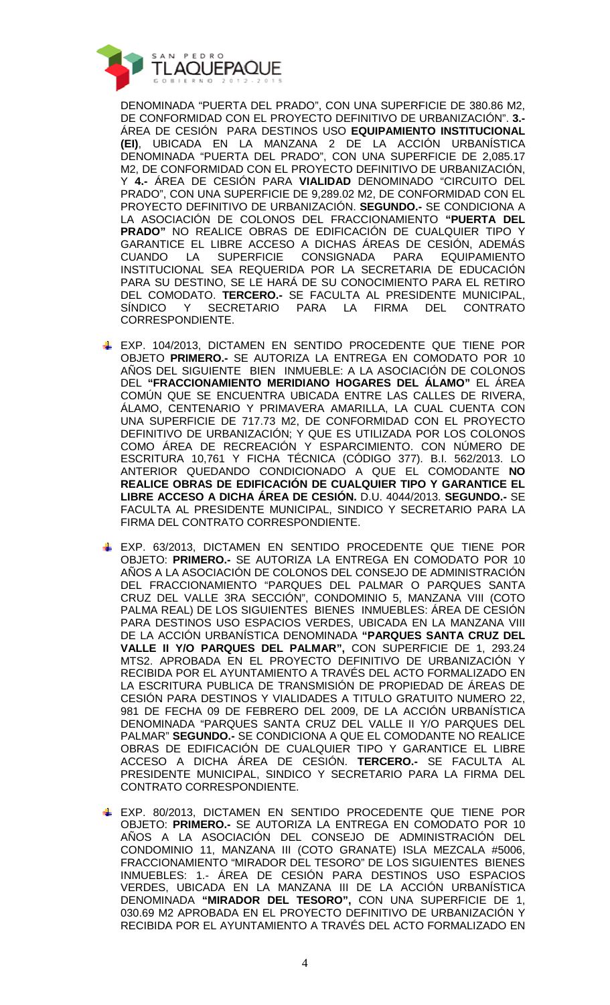

DENOMINADA "PUERTA DEL PRADO", CON UNA SUPERFICIE DE 380.86 M2, DE CONFORMIDAD CON EL PROYECTO DEFINITIVO DE URBANIZACIÓN". **3.-**  ÁREA DE CESIÓN PARA DESTINOS USO **EQUIPAMIENTO INSTITUCIONAL (EI)**, UBICADA EN LA MANZANA 2 DE LA ACCIÓN URBANÍSTICA DENOMINADA "PUERTA DEL PRADO", CON UNA SUPERFICIE DE 2,085.17 M2, DE CONFORMIDAD CON EL PROYECTO DEFINITIVO DE URBANIZACIÓN, Y **4.-** ÁREA DE CESIÓN PARA **VIALIDAD** DENOMINADO "CIRCUITO DEL PRADO", CON UNA SUPERFICIE DE 9,289.02 M2, DE CONFORMIDAD CON EL PROYECTO DEFINITIVO DE URBANIZACIÓN. **SEGUNDO.-** SE CONDICIONA A LA ASOCIACIÓN DE COLONOS DEL FRACCIONAMIENTO **"PUERTA DEL PRADO"** NO REALICE OBRAS DE EDIFICACIÓN DE CUALQUIER TIPO Y GARANTICE EL LIBRE ACCESO A DICHAS ÁREAS DE CESIÓN, ADEMÁS CUANDO LA SUPERFICIE CONSIGNADA PARA EQUIPAMIENTO INSTITUCIONAL SEA REQUERIDA POR LA SECRETARIA DE EDUCACIÓN PARA SU DESTINO, SE LE HARÁ DE SU CONOCIMIENTO PARA EL RETIRO DEL COMODATO. **TERCERO.-** SE FACULTA AL PRESIDENTE MUNICIPAL, SÍNDICO Y SECRETARIO PARA LA FIRMA DEL CONTRATO CORRESPONDIENTE.

- EXP. 104/2013, DICTAMEN EN SENTIDO PROCEDENTE QUE TIENE POR OBJETO **PRIMERO.-** SE AUTORIZA LA ENTREGA EN COMODATO POR 10 AÑOS DEL SIGUIENTE BIEN INMUEBLE: A LA ASOCIACIÓN DE COLONOS DEL **"FRACCIONAMIENTO MERIDIANO HOGARES DEL ÁLAMO"** EL ÁREA COMÚN QUE SE ENCUENTRA UBICADA ENTRE LAS CALLES DE RIVERA, ÁLAMO, CENTENARIO Y PRIMAVERA AMARILLA, LA CUAL CUENTA CON UNA SUPERFICIE DE 717.73 M2, DE CONFORMIDAD CON EL PROYECTO DEFINITIVO DE URBANIZACIÓN; Y QUE ES UTILIZADA POR LOS COLONOS COMO ÁREA DE RECREACIÓN Y ESPARCIMIENTO. CON NÚMERO DE ESCRITURA 10,761 Y FICHA TÉCNICA (CÓDIGO 377). B.I. 562/2013. LO ANTERIOR QUEDANDO CONDICIONADO A QUE EL COMODANTE **NO REALICE OBRAS DE EDIFICACIÓN DE CUALQUIER TIPO Y GARANTICE EL LIBRE ACCESO A DICHA ÁREA DE CESIÓN.** D.U. 4044/2013. **SEGUNDO.-** SE FACULTA AL PRESIDENTE MUNICIPAL, SINDICO Y SECRETARIO PARA LA FIRMA DEL CONTRATO CORRESPONDIENTE.
- **EXP. 63/2013, DICTAMEN EN SENTIDO PROCEDENTE QUE TIENE POR** OBJETO: **PRIMERO.-** SE AUTORIZA LA ENTREGA EN COMODATO POR 10 AÑOS A LA ASOCIACIÓN DE COLONOS DEL CONSEJO DE ADMINISTRACIÓN DEL FRACCIONAMIENTO "PARQUES DEL PALMAR O PARQUES SANTA CRUZ DEL VALLE 3RA SECCIÓN", CONDOMINIO 5, MANZANA VIII (COTO PALMA REAL) DE LOS SIGUIENTES BIENES INMUEBLES: ÁREA DE CESIÓN PARA DESTINOS USO ESPACIOS VERDES, UBICADA EN LA MANZANA VIII DE LA ACCIÓN URBANÍSTICA DENOMINADA **"PARQUES SANTA CRUZ DEL VALLE II Y/O PARQUES DEL PALMAR",** CON SUPERFICIE DE 1, 293.24 MTS2. APROBADA EN EL PROYECTO DEFINITIVO DE URBANIZACIÓN Y RECIBIDA POR EL AYUNTAMIENTO A TRAVÉS DEL ACTO FORMALIZADO EN LA ESCRITURA PUBLICA DE TRANSMISIÓN DE PROPIEDAD DE ÁREAS DE CESIÓN PARA DESTINOS Y VIALIDADES A TITULO GRATUITO NUMERO 22, 981 DE FECHA 09 DE FEBRERO DEL 2009, DE LA ACCIÓN URBANÍSTICA DENOMINADA "PARQUES SANTA CRUZ DEL VALLE II Y/O PARQUES DEL PALMAR" **SEGUNDO.-** SE CONDICIONA A QUE EL COMODANTE NO REALICE OBRAS DE EDIFICACIÓN DE CUALQUIER TIPO Y GARANTICE EL LIBRE ACCESO A DICHA ÁREA DE CESIÓN. **TERCERO.-** SE FACULTA AL PRESIDENTE MUNICIPAL, SINDICO Y SECRETARIO PARA LA FIRMA DEL CONTRATO CORRESPONDIENTE.
- EXP. 80/2013, DICTAMEN EN SENTIDO PROCEDENTE QUE TIENE POR OBJETO: **PRIMERO.-** SE AUTORIZA LA ENTREGA EN COMODATO POR 10 AÑOS A LA ASOCIACIÓN DEL CONSEJO DE ADMINISTRACIÓN DEL CONDOMINIO 11, MANZANA III (COTO GRANATE) ISLA MEZCALA #5006, FRACCIONAMIENTO "MIRADOR DEL TESORO" DE LOS SIGUIENTES BIENES INMUEBLES: 1.- ÁREA DE CESIÓN PARA DESTINOS USO ESPACIOS VERDES, UBICADA EN LA MANZANA III DE LA ACCIÓN URBANÍSTICA DENOMINADA **"MIRADOR DEL TESORO",** CON UNA SUPERFICIE DE 1, 030.69 M2 APROBADA EN EL PROYECTO DEFINITIVO DE URBANIZACIÓN Y RECIBIDA POR EL AYUNTAMIENTO A TRAVÉS DEL ACTO FORMALIZADO EN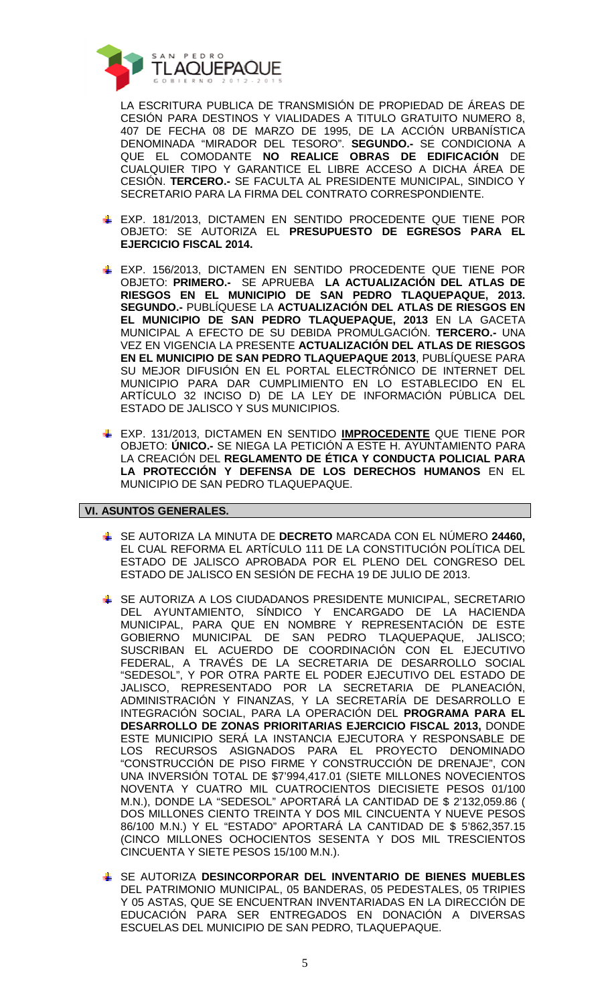

LA ESCRITURA PUBLICA DE TRANSMISIÓN DE PROPIEDAD DE ÁREAS DE CESIÓN PARA DESTINOS Y VIALIDADES A TITULO GRATUITO NUMERO 8, 407 DE FECHA 08 DE MARZO DE 1995, DE LA ACCIÓN URBANÍSTICA DENOMINADA "MIRADOR DEL TESORO". **SEGUNDO.-** SE CONDICIONA A QUE EL COMODANTE **NO REALICE OBRAS DE EDIFICACIÓN** DE CUALQUIER TIPO Y GARANTICE EL LIBRE ACCESO A DICHA ÁREA DE CESIÓN. **TERCERO.-** SE FACULTA AL PRESIDENTE MUNICIPAL, SINDICO Y SECRETARIO PARA LA FIRMA DEL CONTRATO CORRESPONDIENTE.

- EXP. 181/2013, DICTAMEN EN SENTIDO PROCEDENTE QUE TIENE POR OBJETO: SE AUTORIZA EL **PRESUPUESTO DE EGRESOS PARA EL EJERCICIO FISCAL 2014.**
- EXP. 156/2013, DICTAMEN EN SENTIDO PROCEDENTE QUE TIENE POR OBJETO: **PRIMERO.-** SE APRUEBA **LA ACTUALIZACIÓN DEL ATLAS DE RIESGOS EN EL MUNICIPIO DE SAN PEDRO TLAQUEPAQUE, 2013. SEGUNDO.-** PUBLÍQUESE LA **ACTUALIZACIÓN DEL ATLAS DE RIESGOS EN EL MUNICIPIO DE SAN PEDRO TLAQUEPAQUE, 2013** EN LA GACETA MUNICIPAL A EFECTO DE SU DEBIDA PROMULGACIÓN. **TERCERO.-** UNA VEZ EN VIGENCIA LA PRESENTE **ACTUALIZACIÓN DEL ATLAS DE RIESGOS EN EL MUNICIPIO DE SAN PEDRO TLAQUEPAQUE 2013**, PUBLÍQUESE PARA SU MEJOR DIFUSIÓN EN EL PORTAL ELECTRÓNICO DE INTERNET DEL MUNICIPIO PARA DAR CUMPLIMIENTO EN LO ESTABLECIDO EN EL ARTÍCULO 32 INCISO D) DE LA LEY DE INFORMACIÓN PÚBLICA DEL ESTADO DE JALISCO Y SUS MUNICIPIOS.
- EXP. 131/2013, DICTAMEN EN SENTIDO **IMPROCEDENTE** QUE TIENE POR OBJETO: **ÚNICO.-** SE NIEGA LA PETICIÓN A ESTE H. AYUNTAMIENTO PARA LA CREACIÓN DEL **REGLAMENTO DE ÉTICA Y CONDUCTA POLICIAL PARA LA PROTECCIÓN Y DEFENSA DE LOS DERECHOS HUMANOS** EN EL MUNICIPIO DE SAN PEDRO TLAQUEPAQUE.

### **VI. ASUNTOS GENERALES.**

- SE AUTORIZA LA MINUTA DE **DECRETO** MARCADA CON EL NÚMERO **24460,** EL CUAL REFORMA EL ARTÍCULO 111 DE LA CONSTITUCIÓN POLÍTICA DEL ESTADO DE JALISCO APROBADA POR EL PLENO DEL CONGRESO DEL ESTADO DE JALISCO EN SESIÓN DE FECHA 19 DE JULIO DE 2013.
- SE AUTORIZA A LOS CIUDADANOS PRESIDENTE MUNICIPAL, SECRETARIO DEL AYUNTAMIENTO, SÍNDICO Y ENCARGADO DE LA HACIENDA MUNICIPAL, PARA QUE EN NOMBRE Y REPRESENTACIÓN DE ESTE GOBIERNO MUNICIPAL DE SAN PEDRO TLAQUEPAQUE, JALISCO; SUSCRIBAN EL ACUERDO DE COORDINACIÓN CON EL EJECUTIVO<br>FEDERAL, A TRAVÉS DE LA SECRETARIA DE DESARROLLO SOCIAL FEDERAL, A TRAVÉS DE LA SECRETARIA DE DESARROLLO SOCIAL "SEDESOL", Y POR OTRA PARTE EL PODER EJECUTIVO DEL ESTADO DE JALISCO, REPRESENTADO POR LA SECRETARIA DE PLANEACIÓN, ADMINISTRACIÓN Y FINANZAS, Y LA SECRETARÍA DE DESARROLLO E INTEGRACIÓN SOCIAL, PARA LA OPERACIÓN DEL **PROGRAMA PARA EL DESARROLLO DE ZONAS PRIORITARIAS EJERCICIO FISCAL 2013,** DONDE ESTE MUNICIPIO SERÁ LA INSTANCIA EJECUTORA Y RESPONSABLE DE LOS RECURSOS ASIGNADOS PARA EL PROYECTO DENOMINADO "CONSTRUCCIÓN DE PISO FIRME Y CONSTRUCCIÓN DE DRENAJE", CON UNA INVERSIÓN TOTAL DE \$7'994,417.01 (SIETE MILLONES NOVECIENTOS NOVENTA Y CUATRO MIL CUATROCIENTOS DIECISIETE PESOS 01/100 M.N.), DONDE LA "SEDESOL" APORTARÁ LA CANTIDAD DE \$ 2'132,059.86 ( DOS MILLONES CIENTO TREINTA Y DOS MIL CINCUENTA Y NUEVE PESOS 86/100 M.N.) Y EL "ESTADO" APORTARÁ LA CANTIDAD DE \$ 5'862,357.15 (CINCO MILLONES OCHOCIENTOS SESENTA Y DOS MIL TRESCIENTOS CINCUENTA Y SIETE PESOS 15/100 M.N.).
- SE AUTORIZA **DESINCORPORAR DEL INVENTARIO DE BIENES MUEBLES** DEL PATRIMONIO MUNICIPAL, 05 BANDERAS, 05 PEDESTALES, 05 TRIPIES Y 05 ASTAS, QUE SE ENCUENTRAN INVENTARIADAS EN LA DIRECCIÓN DE EDUCACIÓN PARA SER ENTREGADOS EN DONACIÓN A DIVERSAS ESCUELAS DEL MUNICIPIO DE SAN PEDRO, TLAQUEPAQUE.